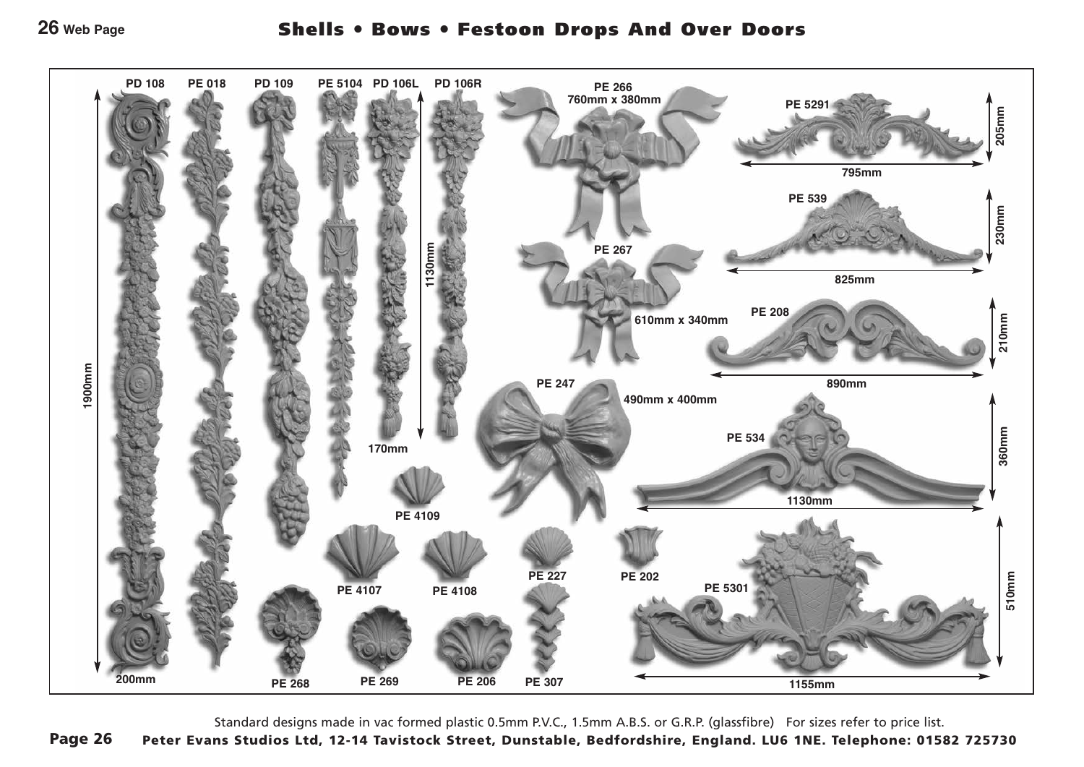

Standard designs made in vac formed plastic 0.5mm P.V.C., 1.5mm A.B.S. or G.R.P. (glassfibre) For sizes refer to price list. Page 26 Peter Evans Studios Ltd, 12-14 Tavistock Street, Dunstable, Bedfordshire, England. LU6 1NE. Telephone: 01582 725730